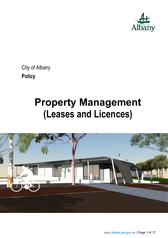

City of Albany **Policy** 

# **Property Management (Leases and Licences)**

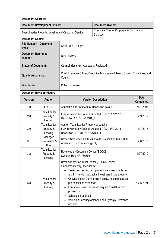| <b>Document Approval</b>                           |                                             |                                                                                                                                                           |                                                                                                                                                                                                                                                                          |                                 |
|----------------------------------------------------|---------------------------------------------|-----------------------------------------------------------------------------------------------------------------------------------------------------------|--------------------------------------------------------------------------------------------------------------------------------------------------------------------------------------------------------------------------------------------------------------------------|---------------------------------|
|                                                    | <b>Document Development Officer:</b>        |                                                                                                                                                           | <b>Document Owner:</b>                                                                                                                                                                                                                                                   |                                 |
| Team Leader Property, Leasing and Customer Service |                                             | Executive Director Corporate & Commercial<br>Services                                                                                                     |                                                                                                                                                                                                                                                                          |                                 |
| <b>Document Control</b>                            |                                             |                                                                                                                                                           |                                                                                                                                                                                                                                                                          |                                 |
| <b>File Number - Document</b><br>Type:             |                                             | CM.STD.7 - Policy                                                                                                                                         |                                                                                                                                                                                                                                                                          |                                 |
| <b>Document Reference</b><br>Number:               |                                             | NP21132540                                                                                                                                                |                                                                                                                                                                                                                                                                          |                                 |
| <b>Status of Document:</b>                         |                                             | <b>Council decision: Adopted &amp; Reviewed.</b>                                                                                                          |                                                                                                                                                                                                                                                                          |                                 |
| <b>Quality Assurance:</b>                          |                                             | Council.                                                                                                                                                  | Chief Executive Officer, Executive Management Team, Council Committee, and                                                                                                                                                                                               |                                 |
| <b>Distribution:</b>                               |                                             | <b>Public Document</b>                                                                                                                                    |                                                                                                                                                                                                                                                                          |                                 |
|                                                    | <b>Document Revision History</b>            |                                                                                                                                                           |                                                                                                                                                                                                                                                                          |                                 |
| <b>Version</b>                                     | Author                                      |                                                                                                                                                           | <b>Version Description</b>                                                                                                                                                                                                                                               | <b>Date</b><br><b>Completed</b> |
| 1.0                                                | <b>EDCCS</b>                                | Adopted OCM 15/04/2008, Resolution 13.8.1                                                                                                                 |                                                                                                                                                                                                                                                                          | 15/04/2008                      |
| 2.0                                                | <b>Team Leader</b><br>Property &<br>Leasing | Fully reviewed by Council. Adopted OCM 18/09/2012<br>Resolution 1.1. NP1226164_2.                                                                         |                                                                                                                                                                                                                                                                          | 18/09/2012                      |
| 3.0                                                | <b>Team Leader</b><br>Property &<br>Leasing | Author: Team Leader Property & Leasing.<br>Fully reviewed by Council. Adopted OCM 14/07/2015<br>Resolution CSF181. NP1226164 3.                           |                                                                                                                                                                                                                                                                          | 14/07/2015                      |
| 3.1                                                | Manager<br>Governance &<br><b>Risk</b>      | Amended: Minor formatting only.                                                                                                                           | Review Reference: OCM 23/05/2017 Resolution CCCS028.                                                                                                                                                                                                                     | 15/06/2017                      |
| 3.2                                                | <b>Team Leader</b><br>Property &<br>Leasing | Reviewed by Document Owner (EDCCS).<br>Synergy Ref: NP1766894.                                                                                            |                                                                                                                                                                                                                                                                          | 11/07/2019                      |
| 3.3                                                | <b>Team Leader</b><br>Property &<br>Leasing | Reviewed by Document Owner (EDCCS): Minor<br>amendments only, specifically:<br>pre-conditions expanded.<br>provisions.<br>Schedule 1 updated.<br>updated. | Tenant subleasing own property sets reasonable rent<br>and in line with the capital investment in the property.<br>Cheyne Beach Commercial Fishing. Accommodation<br>Foreshore Reserves leases require coastal hazard<br>Version numbering amended and Synergy Reference | 29/06/2021                      |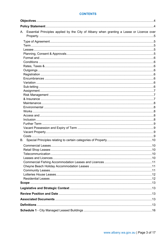#### **CONTENTS**

| Essential Principles applied by the City of Albany when granting a Lease or Licence over<br>A. |  |
|------------------------------------------------------------------------------------------------|--|
|                                                                                                |  |
|                                                                                                |  |
|                                                                                                |  |
|                                                                                                |  |
|                                                                                                |  |
|                                                                                                |  |
|                                                                                                |  |
|                                                                                                |  |
|                                                                                                |  |
|                                                                                                |  |
|                                                                                                |  |
|                                                                                                |  |
|                                                                                                |  |
|                                                                                                |  |
|                                                                                                |  |
|                                                                                                |  |
|                                                                                                |  |
|                                                                                                |  |
|                                                                                                |  |
|                                                                                                |  |
|                                                                                                |  |
|                                                                                                |  |
|                                                                                                |  |
|                                                                                                |  |
|                                                                                                |  |
|                                                                                                |  |
|                                                                                                |  |
|                                                                                                |  |
|                                                                                                |  |
|                                                                                                |  |
|                                                                                                |  |
|                                                                                                |  |
|                                                                                                |  |
|                                                                                                |  |
|                                                                                                |  |
|                                                                                                |  |
|                                                                                                |  |
|                                                                                                |  |
|                                                                                                |  |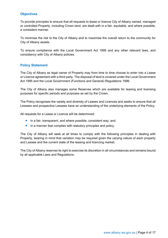### <span id="page-3-0"></span>**Objectives**

To provide principles to ensure that all requests to lease or licence City of Albany owned, managed or controlled Property, including Crown land, are dealt with in a fair, equitable, and where possible, a consistent manner.

To minimise the risk to the City of Albany and to maximise the overall return to the community for City of Albany assets.

To ensure compliance with the Local Government Act 1995 and any other relevant laws, and consistency with City of Albany policies.

#### <span id="page-3-1"></span>**Policy Statement**

The City of Albany as legal owner of Property may from time to time choose to enter into a Lease or Licence agreement with a third party. The disposal of land is covered under the Local Government Act 1995 and the Local Government (Functions and General) Regulations 1996.

The City of Albany also manages some Reserves which are available for leasing and licensing purposes for specific periods and purposes as set by the Crown.

The Policy recognises the variety and diversity of Leases and Licences and seeks to ensure that all Lessees and prospective Lessees have an understanding of the underlying elements of the Policy.

All requests for a Lease or Licence will be determined:

- in a fair, transparent, and where possible, consistent way; and
- in a manner that complies with statutory principles and policy.

The City of Albany will seek at all times to comply with the following principles in dealing with Property, bearing in mind that variation may be required given the varying nature of each property and Lessee and the current state of the leasing and licencing market.

The City of Albany reserves its right to exercise its discretion in all circumstances and remains bound by all applicable Laws and Regulations.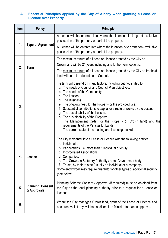## <span id="page-4-0"></span>**A. Essential Principles applied by the City of Albany when granting a Lease or Licence over Property.**

<span id="page-4-4"></span><span id="page-4-3"></span><span id="page-4-2"></span><span id="page-4-1"></span>

| <b>Item</b> | <b>Policy</b>                           | <b>Principle</b>                                                                                                                                                                                                                                                                                                                                                                                                                                                                                                                                                                                   |
|-------------|-----------------------------------------|----------------------------------------------------------------------------------------------------------------------------------------------------------------------------------------------------------------------------------------------------------------------------------------------------------------------------------------------------------------------------------------------------------------------------------------------------------------------------------------------------------------------------------------------------------------------------------------------------|
| 1.          | <b>Type of Agreement</b>                | A Lease will be entered into where the intention is to grant exclusive<br>possession of the property or part of the property.                                                                                                                                                                                                                                                                                                                                                                                                                                                                      |
|             |                                         | A Licence will be entered into where the intention is to grant non-exclusive<br>possession of the property or part of the property.                                                                                                                                                                                                                                                                                                                                                                                                                                                                |
| 2.          | Term                                    | The maximum tenure of a Lease or Licence granted by the City on<br>Crown land will be 21 years including any further term option/s.                                                                                                                                                                                                                                                                                                                                                                                                                                                                |
|             |                                         | The maximum tenure of a Lease or Licence granted by the City on freehold<br>land will be at the discretion of Council.                                                                                                                                                                                                                                                                                                                                                                                                                                                                             |
| 3.          |                                         | The term will depend on many factors, including but not limited to:<br>a. The needs of Council and Council Plan objectives.<br>b. The needs of the Community.<br>c. The Lessee.<br>d. The Business.<br>e. The ongoing need for the Property or the provided use.<br>Substantial contributions to capital or structural works by the Lessee.<br>g. The sustainability of the Lessee.<br>h. The sustainability of the Property.<br>The Management Order for the Property (if Crown land) and the<br>requirements of the Minister for Lands.<br>The current state of the leasing and licencing market |
| 4.          | <b>Lessee</b>                           | The City may enter into a Lease or Licence with the following entities:<br>a. Individuals.<br>b. Partnerships (i.e. more than 1 individual or entity).<br>c. Incorporated Associations.<br>d. Companies.<br>e. The Crown / a Statutory Authority / other Government body.<br>Trusts, by their trustee (usually an individual or a company).<br>f.<br>Some entity types may require guarantor or other types of additional security<br>(see below).                                                                                                                                                 |
| 5.          | <b>Planning, Consent</b><br>& Approvals | Planning Scheme Consent / Approval (if required) must be obtained from<br>the City as the local planning authority prior to a request for a Lease or<br>Licence.                                                                                                                                                                                                                                                                                                                                                                                                                                   |
| 6.          |                                         | Where the City manages Crown land, grant of the Lease or Licence and<br>each renewal, if any, will be conditional on Minister for Lands approval.                                                                                                                                                                                                                                                                                                                                                                                                                                                  |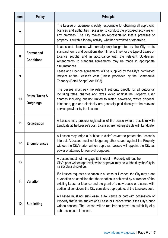<span id="page-5-7"></span><span id="page-5-6"></span><span id="page-5-5"></span><span id="page-5-4"></span><span id="page-5-3"></span><span id="page-5-2"></span><span id="page-5-1"></span><span id="page-5-0"></span>

| <b>Item</b>    | <b>Policy</b>                          | <b>Principle</b>                                                                                                                                                                                                                                                                                                                        |
|----------------|----------------------------------------|-----------------------------------------------------------------------------------------------------------------------------------------------------------------------------------------------------------------------------------------------------------------------------------------------------------------------------------------|
| 7 <sub>1</sub> |                                        | The Lessee or Licensee is solely responsible for obtaining all approvals,<br>licenses and authorities necessary to conduct the proposed activities on<br>any premises. The City makes no representation that a premises or<br>property is suitable for any activity, whether permitted or otherwise.                                    |
| 8.             | <b>Format and</b><br><b>Conditions</b> | Leases and Licences will normally only be granted by the City on its<br>standard terms and conditions (from time to time) for the type of Lease or<br>Licence sought, and in accordance with the relevant Guidelines.<br>Amendments to standard agreements may be made in appropriate<br>circumstances.                                 |
| 9.             |                                        | Lease and Licence agreements will be supplied by the City's nominated<br>lawyers at the Lessee's cost (unless prohibited by the Commercial<br>Tenancy (Retail Shops) Act 1985).                                                                                                                                                         |
| 10.            | Rates, Taxes &<br><b>Outgoings</b>     | The Lessee must pay the relevant authority directly for all outgoings<br>including rates, charges and taxes levied against the Property. User<br>charges including but not limited to water, sewerage, waste disposal,<br>telephone, gas and electricity are generally paid directly to the relevant<br>service provider by the Lessee. |
| 11.            | <b>Registration</b>                    | A Lessee may procure registration of the Lease (where possible) with<br>Landgate at the Lessee's cost. Licenses are not registrable with Landgate.                                                                                                                                                                                      |
| 12.            | <b>Encumbrances</b>                    | A Lessee may lodge a "subject to claim" caveat to protect the Lessee's<br>interest. A Lessee must not lodge any other caveat against the Property<br>without the City's prior written approval. Lessee will appoint the City as<br>power of attorney for removal purposes.                                                              |
| 13.            |                                        | A Lessee must not mortgage its interest in Property without the<br>City's prior written approval, which approval may be withheld by the City in<br>its absolute discretion.                                                                                                                                                             |
| 14.            | <b>Variation</b>                       | If a Lessee requests a variation to a Lease or Licence, the City may grant<br>a variation on condition that the variation is achieved by surrender of the<br>existing Lease or Licence and the grant of a new Lease or Licence with<br>additional conditions the City considers appropriate, at the Lessee's cost.                      |
| 15.            | Sub-letting                            | A Lessee must not sub-Lease, sub-Licence or part with possession of<br>Property that is the subject of a Lease or Licence without the City's prior<br>written consent. The Lessee will be required to prove the suitability of a<br>sub-Lessee/sub-Licensee.                                                                            |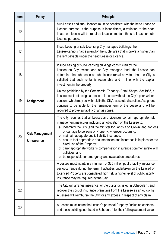<span id="page-6-2"></span><span id="page-6-1"></span><span id="page-6-0"></span>

| <b>Item</b> | <b>Policy</b>                         | <b>Principle</b>                                                                                                                                                                                                                                                                                                                                                                                                                                                                                                                                                                                             |
|-------------|---------------------------------------|--------------------------------------------------------------------------------------------------------------------------------------------------------------------------------------------------------------------------------------------------------------------------------------------------------------------------------------------------------------------------------------------------------------------------------------------------------------------------------------------------------------------------------------------------------------------------------------------------------------|
| 16.         |                                       | Sub-Leases and sub-Licences must be consistent with the head Lease or<br>Licence purpose. If the purpose is inconsistent, a variation to the head<br>Lease or Licence will be required to accommodate the sub-Lease or sub-<br>Licence purpose.                                                                                                                                                                                                                                                                                                                                                              |
| 17.         |                                       | If sub-Leasing or sub-Licensing City managed buildings, the<br>Lessee cannot charge a rent for the sublet area that is pro-rata higher than<br>the rent payable under the head Lease or Licence.                                                                                                                                                                                                                                                                                                                                                                                                             |
| 18.         |                                       | If sub-Leasing or sub-Licensing buildings constructed by the<br>Lessee on City owned and or City managed land, the Lessee can<br>determine the sub-Lease or sub-Licence rental provided that the City is<br>satisfied that such rental is reasonable and in line with the capital<br>investment in the property.                                                                                                                                                                                                                                                                                             |
| 19.         | <b>Assignment</b>                     | Unless prohibited by the Commercial Tenancy (Retail Shops) Act 1985, a<br>Lessee must not assign a Lease or Licence without the City's prior written<br>consent, which may be withheld in the City's absolute discretion. Assignors<br>continue to be liable for the remainder term of the Lease and will be<br>required to prove suitability of an assignee.                                                                                                                                                                                                                                                |
| 20.         | <b>Risk Management</b><br>& Insurance | The City requires that all Leases and Licences contain appropriate risk<br>management measures including an obligation on the Lessee to:<br>a. indemnify the City (and the Minister for Lands if on Crown land) for loss<br>or damage to persons or Property, wherever occurring;<br>b. maintain adequate public liability insurance;<br>c. ensure that appropriate documentation and insurance is in place for the<br>hired use of the Property;<br>d. carry appropriate worker's compensation insurance commensurate with<br>activities; and<br>e. be responsible for emergency and evacuation procedures. |
| 21.         |                                       | A Lessee must maintain a minimum of \$20 million public liability insurance<br>per occurrence during the term. If activities undertaken on the Leased or<br>Licensed Property are considered high risk, a higher level of public liability<br>insurance may be required by the City.                                                                                                                                                                                                                                                                                                                         |
| 22.         |                                       | The City will arrange insurance for the buildings listed in Schedule 1, and<br>recover the cost of insurance premiums from the Lessee as an outgoing.<br>A Lessee will reimburse the City for any excess in respect of any claim.                                                                                                                                                                                                                                                                                                                                                                            |
| 23.         |                                       | A Lessee must insure the Lessee's personal Property (including contents)<br>and those buildings not listed in Schedule 1 for their full replacement value.                                                                                                                                                                                                                                                                                                                                                                                                                                                   |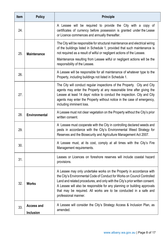<span id="page-7-4"></span><span id="page-7-3"></span><span id="page-7-2"></span><span id="page-7-1"></span><span id="page-7-0"></span>

| <b>Item</b> | <b>Policy</b>                         | <b>Principle</b>                                                                                                                                                                                                                                                                                                                                                                                          |
|-------------|---------------------------------------|-----------------------------------------------------------------------------------------------------------------------------------------------------------------------------------------------------------------------------------------------------------------------------------------------------------------------------------------------------------------------------------------------------------|
| 24.         |                                       | A Lessee will be required to provide the City with a copy of<br>certificates of currency before possession is granted under the Lease<br>or Licence commences and annually thereafter.                                                                                                                                                                                                                    |
| 25.         | <b>Maintenance</b>                    | The City will be responsible for structural maintenance and electrical wiring<br>of the buildings listed in Schedule 1, provided that such maintenance is<br>not required as a result of wilful or negligent actions of the Lessee.<br>Maintenance resulting from Lessee wilful or negligent actions will be the<br>responsibility of the Lessee.                                                         |
| 26.         |                                       | A Lessee will be responsible for all maintenance of whatever type to the<br>Property, including buildings not listed in Schedule 1.                                                                                                                                                                                                                                                                       |
| 27.         |                                       | The City will conduct regular inspections of the Property. City and City<br>agents may enter the Property at any reasonable time after giving the<br>Lessee at least 14 days' notice to conduct the inspection. City and City<br>agents may enter the Property without notice in the case of emergency,<br>including imminent loss.                                                                       |
| 28.         | <b>Environmental</b>                  | A Lessee must not clear vegetation on the Property without the City's prior<br>written consent.                                                                                                                                                                                                                                                                                                           |
| 29.         |                                       | A Lessee must cooperate with the City in controlling declared weeds and<br>pests in accordance with the City's Environmental Weed Strategy for<br>Reserves and the Biosecurity and Agriculture Management Act 2007.                                                                                                                                                                                       |
| 30.         |                                       | A Lessee must, at its cost, comply at all times with the City's Fire<br>Management requirements.                                                                                                                                                                                                                                                                                                          |
| 31.         |                                       | Leases or Licences on foreshore reserves will include coastal hazard<br>provisions.                                                                                                                                                                                                                                                                                                                       |
| 32.         | <b>Works</b>                          | A Lessee may only undertake works on the Property in accordance with<br>the City's Environmental Code of Conduct for Works on Council Controlled<br>Land and related procedures, and only with the City's prior written consent.<br>A Lessee will also be responsible for any planning or building approvals<br>that may be required. All works are to be conducted in a safe and<br>professional manner. |
| 33.         | <b>Access and</b><br><b>Inclusion</b> | A Lessee will consider the City's Strategy Access & Inclusion Plan, as<br>amended.                                                                                                                                                                                                                                                                                                                        |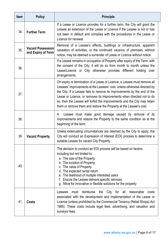<span id="page-8-3"></span><span id="page-8-2"></span><span id="page-8-1"></span><span id="page-8-0"></span>

| <b>Item</b> | <b>Policy</b>                                  | <b>Principle</b>                                                                                                                                                                                                                                                                                                                                                                                                                                             |
|-------------|------------------------------------------------|--------------------------------------------------------------------------------------------------------------------------------------------------------------------------------------------------------------------------------------------------------------------------------------------------------------------------------------------------------------------------------------------------------------------------------------------------------------|
| 34.         | <b>Further Term</b>                            | If a Lease or Licence provides for a further term, the City will grant the<br>Lessee an extension of the Lease or Licence if the Lessee is not or has<br>not been in default and complies with the procedures in the Lease or<br>Licence for renewal.                                                                                                                                                                                                        |
| 35.         | <b>Vacant Possession</b><br>and Expiry of Term | Removal of a Lessee's effects, buildings or infrastructure, apparent<br>cessation of activities, or the continued vacancy of premises, without<br>notice, may be deemed a surrender of Lease or Licence without notice.                                                                                                                                                                                                                                      |
| 36.         |                                                | If a Lessee remains in occupation of Property after expiry of the Term, with<br>the consent of the City, it will do so from month to month unless the<br>Lease/Licence or City otherwise provides different holding over<br>arrangements.                                                                                                                                                                                                                    |
| 37.         |                                                | On expiry or termination of a Lease or Licence, a Lessee must remove all<br>Lessees' improvements at the Lessees' cost, unless otherwise directed by<br>the City. If a Lessee fails to remove its improvements by the end of the<br>Lease or Licence, or removes its improvements when directed not to do<br>so, then the Lessee will forfeit the improvements and the City may retain<br>them or remove them and restore the Property at the Lessee's cost. |
| 38.         |                                                | Lessee must make good damage caused by removal of its<br>A<br>improvements and restore the Property to the same condition as at the<br>beginning of the term.                                                                                                                                                                                                                                                                                                |
| 39.         | <b>Vacant Property</b>                         | Unless extenuating circumstances are deemed by the City to apply, the<br>City will conduct an Expression of Interest (EOI) process to determine a<br>suitable Lessee for vacant City Property.                                                                                                                                                                                                                                                               |
| 40.         |                                                | The decision to conduct an EOI process will be based on factors<br>including but not limited to:<br>a. The size of the Property<br>b. The location of Property<br>c. The value of Property<br>d. The expected rental return<br>e. The likelihood of multiple interested users<br>Ensure the Lessee delivers specific services<br>f.<br>g. Allow for innovative or flexible solutions for the property                                                        |
| 41.         | <b>Costs</b>                                   | reimburse<br>City for all reasonable<br>the<br>Lessees<br>must<br>costs<br>associated with the development and implementation of the Lease or<br>Licence (unless prohibited by the Commercial Tenancy (Retail Shops) Act<br>1985). These costs include legal fees, advertising, and valuation and<br>surveyor fees.                                                                                                                                          |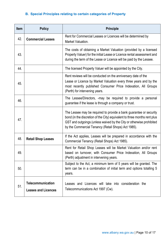# <span id="page-9-0"></span>**B. Special Principles relating to certain categories of Property**

<span id="page-9-4"></span><span id="page-9-3"></span><span id="page-9-2"></span><span id="page-9-1"></span>

| <b>Item</b> | <b>Policy</b>                                          | <b>Principle</b>                                                                                                                                                                                                                                                               |
|-------------|--------------------------------------------------------|--------------------------------------------------------------------------------------------------------------------------------------------------------------------------------------------------------------------------------------------------------------------------------|
| 42.         | <b>Commercial Leases</b>                               | Rent for Commercial Leases or Licences will be determined by<br>Market Valuation.                                                                                                                                                                                              |
| 43.         |                                                        | The costs of obtaining a Market Valuation (provided by a licensed<br>Property Valuer) for the initial Lease or Licence rental assessment and<br>during the term of the Lease or Licence will be paid by the Lessee.                                                            |
| 44.         |                                                        | The licensed Property Valuer will be appointed by the City.                                                                                                                                                                                                                    |
| 45.         |                                                        | Rent reviews will be conducted on the anniversary date of the<br>Lease or Licence by Market Valuation every three years and by the<br>most recently published Consumer Price Indexation, All Groups<br>(Perth) for intervening years.                                          |
| 46.         |                                                        | The Lessee/Directors, -may be required to provide a personal<br>guarantee if the lease is through a company or trust.                                                                                                                                                          |
| 47.         |                                                        | The Lessee may be required to provide a bank guarantee or security<br>bond (in the discretion of the City) equivalent to three months rent plus<br>GST and outgoings (unless waived by the City or otherwise prohibited<br>by the Commercial Tenancy (Retail Shops) Act 1985). |
| 48.         | <b>Retail Shop Leases</b>                              | If the Act applies, Leases will be prepared in accordance with the<br>Commercial Tenancy (Retail Shops) Act 1985).                                                                                                                                                             |
| 49.         |                                                        | Rent for Retail Shop Leases will be Market Valuation and/or rent<br>based on turnover, with Consumer Price Indexation, All Groups<br>(Perth) adjustment in intervening years.                                                                                                  |
| 50.         |                                                        | Subject to the Act, a minimum term of 5 years will be granted. The<br>term can be in a combination of initial term and options totalling 5<br>years.                                                                                                                           |
| 51.         | <b>Telecommunication</b><br><b>Leases and Licences</b> | Leases and Licences will take into consideration the<br>Telecommunications Act 1997 (Cw).                                                                                                                                                                                      |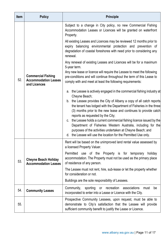<span id="page-10-2"></span><span id="page-10-1"></span><span id="page-10-0"></span>

| <b>Item</b> | <b>Policy</b>                                                            | <b>Principle</b>                                                                                                                                                                                                                                                                                                                                                                                                                                                                                                                                                                                                             |
|-------------|--------------------------------------------------------------------------|------------------------------------------------------------------------------------------------------------------------------------------------------------------------------------------------------------------------------------------------------------------------------------------------------------------------------------------------------------------------------------------------------------------------------------------------------------------------------------------------------------------------------------------------------------------------------------------------------------------------------|
|             |                                                                          | Subject to a change in City policy, no new Commercial Fishing<br>Accommodation Leases or Licences will be granted on waterfront<br>Property.                                                                                                                                                                                                                                                                                                                                                                                                                                                                                 |
|             |                                                                          | All existing Leases and Licences may be reviewed 12 months prior to<br>balancing environmental protection and prevention of<br>expiry<br>degradation of coastal foreshores with need prior to considering any<br>renewal.                                                                                                                                                                                                                                                                                                                                                                                                    |
|             |                                                                          | Any renewal of existing Leases and Licences will be for a maximum                                                                                                                                                                                                                                                                                                                                                                                                                                                                                                                                                            |
| 52.         | <b>Commercial Fishing</b><br><b>Accommodation Leases</b><br>and Licences | 5-year term.<br>Any new lease or licence will require the Lessee to meet the following<br>pre-conditions and will continue throughout the term of this Lease to<br>comply with and meet at least the following requirements:                                                                                                                                                                                                                                                                                                                                                                                                 |
|             |                                                                          | a. the Lessee is actively engaged in the commercial fishing industry at<br>Cheyne Beach;<br>b. the Lessee provides the City of Albany a copy of all catch reports<br>the tenant has lodged with the Department of Fisheries in the three<br>(3) months prior to the new lease and continues to provide catch<br>reports as requested by the City;<br>c. the Lessee holds a current commercial fishing licence issued by the<br>Department of Fisheries Western Australia, including for the<br>purposes of the activities undertaken at Cheyne Beach; and<br>d. the Lessee will use the location for the Permitted Use only. |
|             |                                                                          | Rent will be based on the unimproved land rental value assessed by<br>a licensed Property Valuer.                                                                                                                                                                                                                                                                                                                                                                                                                                                                                                                            |
| 53.         | <b>Cheyne Beach Holiday</b><br><b>Accommodation Leases</b>               | Permitted use of the Property is for temporary<br>holiday<br>accommodation. The Property must not be used as the primary place<br>of residence of any person.                                                                                                                                                                                                                                                                                                                                                                                                                                                                |
|             |                                                                          | The Lessee must not rent, hire, sub-lease or let the property whether<br>for consideration or not.                                                                                                                                                                                                                                                                                                                                                                                                                                                                                                                           |
|             |                                                                          | Buildings are the sole responsibility of Lessees.                                                                                                                                                                                                                                                                                                                                                                                                                                                                                                                                                                            |
| 54.         | <b>Community Leases</b>                                                  | Community,<br>sporting<br>or recreation associations<br>must<br>be<br>incorporated to enter into a Lease or Licence with the City.                                                                                                                                                                                                                                                                                                                                                                                                                                                                                           |
| 55.         |                                                                          | Prospective Community Lessees, upon request, must be able to<br>demonstrate to City's satisfaction that the Lessee will provide<br>sufficient community benefit to justify the Lease or Licence.                                                                                                                                                                                                                                                                                                                                                                                                                             |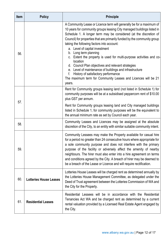<span id="page-11-2"></span><span id="page-11-1"></span><span id="page-11-0"></span>

| <b>Item</b> | <b>Policy</b>                 | <b>Principle</b>                                                                                                                                                                                                                                                                                                                                                                                                                                                                                                                                                                                                                                                                                                                     |
|-------------|-------------------------------|--------------------------------------------------------------------------------------------------------------------------------------------------------------------------------------------------------------------------------------------------------------------------------------------------------------------------------------------------------------------------------------------------------------------------------------------------------------------------------------------------------------------------------------------------------------------------------------------------------------------------------------------------------------------------------------------------------------------------------------|
| 56.         |                               | A Community Lease or Licence term will generally be for a maximum of<br>10 years for community groups leasing City managed buildings listed in<br>Schedule 1. A longer term may be considered (at the discretion of<br>Council) for properties that are primarily funded by the community group<br>taking the following factors into account:<br>a. Level of capital investment<br>b. Long term planning<br>c. Extent the property is used for multi-purpose activities and co-<br>location<br>d. Council Plan objectives and relevant strategies<br>e. Level of maintenance of buildings and infrastructure<br>History of satisfactory performance<br>f.<br>The maximum term for Community Leases and Licences will be 21<br>years. |
| 57.         |                               | Rent for Community groups leasing land (not listed in Schedule 1) for<br>community purposes will be at a subsidised peppercorn rent of \$10.00<br>plus GST per annum.                                                                                                                                                                                                                                                                                                                                                                                                                                                                                                                                                                |
|             |                               | Rent for Community groups leasing land and City managed buildings<br>listed in Schedule 1, for community purposes will be the equivalent to<br>the annual minimum rate as set by Council each year.                                                                                                                                                                                                                                                                                                                                                                                                                                                                                                                                  |
| 58.         |                               | Community Leases and Licences may be assigned at the absolute<br>discretion of the City, to an entity with similar suitable community intent.                                                                                                                                                                                                                                                                                                                                                                                                                                                                                                                                                                                        |
| 59.         |                               | Community Lessees may make the Property available for casual hire<br>for a period no greater than 24 consecutive hours where appropriate for<br>a sole community purpose and does not interfere with the primary<br>purpose of the facility or adversely affect the amenity of nearby<br>neighbours. The hirer must also enter into a hire agreement on terms<br>and conditions agreed by the City. A breach of hirer may be deemed to<br>be a breach of the Lease or Licence and will require rectification.                                                                                                                                                                                                                        |
| 60.         | <b>Lotteries House Leases</b> | Lotteries House Leases will be charged rent as determined annually by<br>the Lotteries House Management Committee, as delegated under the<br>Deed of Trust agreement between the Lotteries Commission of WA and<br>the City for the Property.                                                                                                                                                                                                                                                                                                                                                                                                                                                                                        |
| 61.         | <b>Residential Leases</b>     | Residential Lessees will be in accordance with the Residential<br>Tenancies Act WA and be charged rent as determined by a current<br>rental valuation provided by a Licensed Real Estate Agent engaged by<br>the City.                                                                                                                                                                                                                                                                                                                                                                                                                                                                                                               |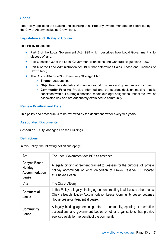### **Scope**

The Policy applies to the leasing and licensing of all Property owned, managed or controlled by the City of Albany, including Crown land.

## <span id="page-12-0"></span>**Legislative and Strategic Context**

This Policy relates to:

- Part 3 of the Local Government Act 1995 which describes how Local Government is to dispose of land;
- Part 6, section 30 of the Local Government (Functions and General) Regulations 1996;
- Part 6 of the Land Administration Act 1997 that determines Sales, Lease and Licences of Crown land;
- The City of Albany 2030 Community Strategic Plan:
	- o **Theme:** Leadership.
	- o **Objective**: To establish and maintain sound business and governance structures.
	- o **Community Priority:** Provide informed and transparent decision making that is consistent with our strategic direction, meets our legal obligations, reflect the level of associated risk and are adequately explained to community.

#### <span id="page-12-1"></span>**Review Position and Date**

This policy and procedure is to be reviewed by the document owner every two years.

#### <span id="page-12-2"></span>**Associated Documents**

Schedule 1 – City Managed Leased Buildings

#### <span id="page-12-3"></span>**Definitions**

In this Policy, the following definitions apply:

| Act                                                             | The Local Government Act 1995 as amended.                                                                                                                                                               |
|-----------------------------------------------------------------|---------------------------------------------------------------------------------------------------------------------------------------------------------------------------------------------------------|
| <b>Cheyne Beach</b><br><b>Holiday</b><br>Accommodation<br>Lease | A legally binding agreement granted to Lessees for the purpose of private<br>holiday accommodation only, on portion of Crown Reserve 878 located<br>at Cheyne Beach.                                    |
| City                                                            | The City of Albany.                                                                                                                                                                                     |
| Commercial<br>Lease                                             | In this Policy, a legally binding agreement, relating to all Leases other than a<br>Cheyne Beach Holiday Accommodation Lease, Community Lease, Lotteries<br>House Lease or Residential Lease.           |
| Community<br>Lease                                              | A legally binding agreement granted to community, sporting or recreation<br>associations and government bodies or other organisations that provide<br>services solely for the benefit of the community. |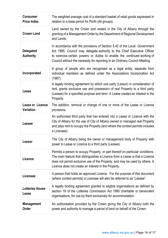| <b>Consumer</b><br><b>Price Index</b> | The weighted average cost of a standard basket of retail goods expressed in<br>relation to a base period for Perth (All groups).                                                                                                                                                                               |
|---------------------------------------|----------------------------------------------------------------------------------------------------------------------------------------------------------------------------------------------------------------------------------------------------------------------------------------------------------------|
| <b>Crown Land</b>                     | Land owned by the Crown and vested in the City of Albany through the<br>granting of a Management Order by the Department of Regional Development<br>and Lands.                                                                                                                                                 |
| <b>Delegated</b><br><b>Authority</b>  | In accordance with the provisions of Section 5.42 of the Local Government<br>Act 1995, Council may delegate authority to the Chief Executive Officer<br>to exercise certain powers or duties to enable the continued working of<br>Council without the necessity for reporting to an Ordinary Council Meeting. |
| Incorporated                          | A group of people who are recognised as a legal entity, separate from<br>individual members as defined under the Associations Incorporation Act<br>$(1987)$ .                                                                                                                                                  |
| Lease                                 | A legally binding agreement by which one party (Lessor) in consideration of<br>rent, grants exclusive use and possession of real Property to a third party<br>(Lessee) for a specified purpose and term. A Lease creates an interest in the<br>Property.                                                       |
| Lease or Licence<br>Variation         | The addition, removal or change of one or more of the Lease or Licence<br>provisions.                                                                                                                                                                                                                          |
| <b>Lessee</b>                         | An authorised third party that has entered into a Lease or Licence with the<br>City of Albany for the use of City of Albany owned or managed real Property<br>and pays rent to occupy the Property (and where the context permits includes<br>a Licensee).                                                     |
| Lessor                                | The City of Albany being the owner or management body of Property with<br>power to Lease or Licence to a third party (Lessee).                                                                                                                                                                                 |
| Licence                               | Permits a person to occupy Property, or part thereof on particular conditions.<br>The main feature that distinguishes a Licence from a Lease is that a Licence<br>does not permit exclusive use of the Property, and may be used by others. A<br>Licence does not create an interest in the Property.          |
| <b>Licensee</b>                       | A person that holds an approved Licence. For the purpose of this document<br>(where context permits) a Licensee will also be referred to as "Lessee".                                                                                                                                                          |
| <b>Lotteries House</b><br>Lease       | A legally binding agreement granted to eligible organisations as defined by<br>section 19 of the Lotteries Commission Act 1990 charitable or benevolent<br>organisations, for use by them exclusively for accommodation.                                                                                       |
| <b>Management</b><br>Order            | An authorisation provided by the Crown giving the City of Albany both the<br>power and authority to manage a parcel of land on behalf of the Crown.                                                                                                                                                            |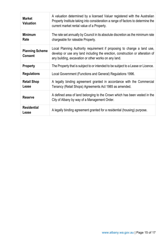| <b>Market</b><br><b>Valuation</b>        | A valuation determined by a licensed Valuer registered with the Australian<br>Property Institute taking into consideration a range of factors to determine the<br>current market rental value of a Property.     |
|------------------------------------------|------------------------------------------------------------------------------------------------------------------------------------------------------------------------------------------------------------------|
| <b>Minimum</b><br>Rate                   | The rate set annually by Council in its absolute discretion as the minimum rate<br>chargeable for rateable Property.                                                                                             |
| <b>Planning Scheme</b><br><b>Consent</b> | Local Planning Authority requirement if proposing to change a land use,<br>develop or use any land including the erection, construction or alteration of<br>any building, excavation or other works on any land. |
| <b>Property</b>                          | The Property that is subject to or intended to be subject to a Lease or Licence.                                                                                                                                 |
| <b>Regulations</b>                       | Local Government (Functions and General) Regulations 1996.                                                                                                                                                       |
| <b>Retail Shop</b><br>Lease              | A legally binding agreement granted in accordance with the Commercial<br>Tenancy (Retail Shops) Agreements Act 1985 as amended.                                                                                  |
| <b>Reserve</b>                           | A defined area of land belonging to the Crown which has been vested in the<br>City of Albany by way of a Management Order.                                                                                       |
| <b>Residential</b><br>Lease              | A legally binding agreement granted for a residential (housing) purpose.                                                                                                                                         |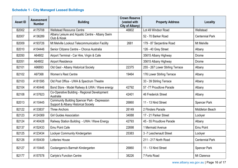# **Schedule 1 - City Managed Leased Buildings**

<span id="page-15-0"></span>

| <b>Asset ID</b> | <b>Assessment</b><br><b>Number</b> | <b>Building</b>                                                                            | <b>Crown Reserve</b><br>(vested with | <b>Property Address</b>          | <b>Locality</b>        |
|-----------------|------------------------------------|--------------------------------------------------------------------------------------------|--------------------------------------|----------------------------------|------------------------|
| B2002           | A175708                            | <b>Wellstead Resource Centre</b>                                                           | City of Albany)<br>46802             | Lot 49 Windsor Road              | Wellstead              |
| B2007           | A136289                            | Albany Leisure and Aquatic Centre - Albany Swim<br>Club & Kiosk                            |                                      | 52 - 70 Barker Road              | <b>Centennial Park</b> |
| B2009           | A193726                            | Mt Melville Lookout Telecommunication Facility                                             | 2681                                 | 179 - 87 Serpentine Road         | Mt Melville            |
| B2010           | A104446                            | Senior Citizens Centre - Chorus Australia                                                  |                                      | 126 - 40 Grey Street             | Albany                 |
| B2050           | A64802                             | Airport Terminal - Car Hire, Virgin & Cafe                                                 |                                      | 35615 Albany Highway             | Drome                  |
| B2051           | A64802                             | <b>Airport Residence</b>                                                                   |                                      | 35615 Albany Highway             | Drome                  |
| B2101           | A96893                             | Old Gaol - Albany Historical Society                                                       | 22375                                | 255 - 267 Lower Stirling Terrace | Albany                 |
| B2102           | A97368                             | Women's Rest Centre                                                                        | 19464                                | 176 Lower Stirling Terrace       | Albany                 |
| B2103           | A181595                            | Old Post Office - UWA & Spectrum Theatre                                                   |                                      | 33 - 39 Stirling Terrace         | Albany                 |
| B2104           | A140446                            | Bond Store - Model Railway & UWA / Wave energy                                             | 42792                                | 57-77 Proudlove Parade           | Albany                 |
| B2108           | A137623                            | Co-Operative Building - Regional Development<br>Australia                                  | 42401                                | 46 Frederick Street              | Albany                 |
| B2013           | A110445                            | <b>Community Building Spencer Park - Depression</b><br>Support & Albany Historical Society | 26860                                | 11 - 13 Nind Street              | <b>Spencer Park</b>    |
| B2122           | A133837                            | <b>Three Anchors</b>                                                                       | 26149                                | 2 Flinders Parade                | Middleton Beach        |
| B2123           | A124369                            | <b>Girl Guides Association</b>                                                             | 34088                                | 17 - 21 Parker Street            | Lockyer                |
| B2124           | A140428                            | Railway Station Building - UWA / Wave Energy                                               | 42793                                | 45 - 55 Proudlove Parade         | Albany                 |
| B2137           | A152433                            | <b>Emu Point Cafe</b>                                                                      | 22698                                | 1 Mermaid Avenue                 | Emu Point              |
| B2125           | A123434                            | Lockyer Community Kindergarten                                                             | 25383                                | 3-7 Leschenault Street           | Lockyer                |
| B2126           | A150439                            | Lotteries House                                                                            |                                      | 211 - 217 North Road             | <b>Centennial Park</b> |
| B2127           | A110445                            | Coolangarra's Barmah Kindergarten                                                          | 26860                                | 11 - 13 Nind Street              | <b>Spencer Park</b>    |
| B2177           | A157578                            | <b>Carlyle's Function Centre</b>                                                           | 38226                                | 7 Forts Road                     | Mt Clarence            |